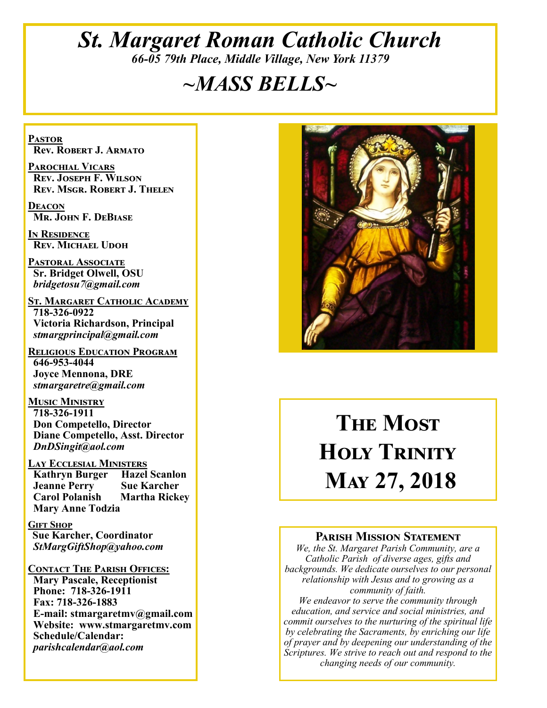### *St. Margaret Roman Catholic Church 66-05 79th Place, Middle Village, New York 11379*

### *~MASS BELLS~*

**Pastor Rev. Robert J. Armato**

**Parochial Vicars Rev. Joseph F. Wilson Rev. Msgr. Robert J. Thelen**

**Deacon Mr. John F. DeBiase** 

**In Residence Rev. Michael Udoh**

**Pastoral Associate Sr. Bridget Olwell, OSU**  *bridgetosu7@gmail.com*

**St. Margaret Catholic Academy 718-326-0922 Victoria Richardson, Principal**  *stmargprincipal@gmail.com*

**Religious Education Program 646-953-4044 Joyce Mennona, DRE** *stmargaretre@gmail.com*

**Music Ministry 718-326-1911 Don Competello, Director Diane Competello, Asst. Director** *DnDSingit@aol.com*

**LAY ECCLESIAL MINISTERS<br>
Kathryn Burger Hazel Scanlon Kathryn Burger Hazel Scanlo**<br>**Jeanne Perry Sue Karcher Jeanne Perry<br>Carol Polanish Martha Rickey Mary Anne Todzia**

**Gift Shop Sue Karcher, Coordinator** *StMargGiftShop@yahoo.com*

**Contact The Parish Offices: Mary Pascale, Receptionist Phone: 718-326-1911 Fax: 718-326-1883 E-mail: stmargaretmv@gmail.com Website: www.stmargaretmv.com Schedule/Calendar:** 

*parishcalendar@aol.com* 



# **The Most HOLY TRINITY May 27, 2018**

#### **Parish Mission Statement**

*We, the St. Margaret Parish Community, are a Catholic Parish of diverse ages, gifts and backgrounds. We dedicate ourselves to our personal relationship with Jesus and to growing as a community of faith.*

*We endeavor to serve the community through education, and service and social ministries, and commit ourselves to the nurturing of the spiritual life by celebrating the Sacraments, by enriching our life of prayer and by deepening our understanding of the Scriptures. We strive to reach out and respond to the changing needs of our community.*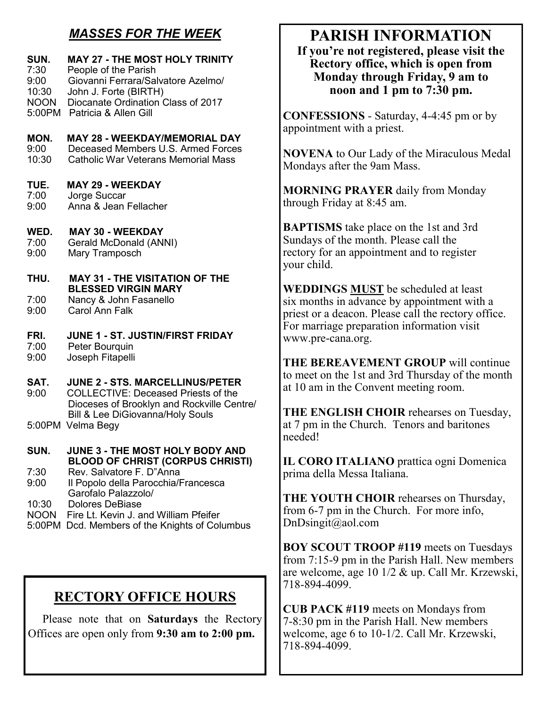#### *MASSES FOR THE WEEK*

### **SUN.** MAY 27 - THE MOST HOLY TRINITY<br>7:30 People of the Parish

- People of the Parish
- 9:00 Giovanni Ferrara/Salvatore Azelmo/
- 10:30 John J. Forte (BIRTH)
- NOON Diocanate Ordination Class of 2017
- 5:00PM Patricia & Allen Gill

### **MON. MAY 28 - WEEKDAY/MEMORIAL DAY**<br>9:00 Deceased Members U.S. Armed Forces

9:00 Deceased Members U.S. Armed Forces<br>10:30 Catholic War Veterans Memorial Mass Catholic War Veterans Memorial Mass

TUE. **TUE. MAY 29 - WEEKDAY**

- 7:00 Jorge Succar<br>9:00 Anna & Jean
- Anna & Jean Fellacher

**WED. MAY 30 - WEEKDAY**

- 7:00 Gerald McDonald (ANNI) 9:00 Mary Tramposch
- 
- THU. **MAY 31 - THE VISITATION OF THE BLESSED VIRGIN MARY**<br>7:00 Mancy & John Fasanello
- 7:00 Nancy & John Fasanello
- Carol Ann Falk

#### FRI. **FRI. JUNE 1 - ST. JUSTIN/FIRST FRIDAY**

- 7:00 Peter Bourquin
- Joseph Fitapelli  $9:00$

### **SAT. JUNE 2 - STS. MARCELLINUS/PETER**

- 9:00 COLLECTIVE: Deceased Priests of the Dioceses of Brooklyn and Rockville Centre/ Bill & Lee DiGiovanna/Holy Souls
- 5:00PM Velma Begy

#### **SUN. JUNE 3 - THE MOST HOLY BODY AND BLOOD OF CHRIST (CORPUS CHRISTI)**<br>7:30 Rev. Salvatore F. D"Anna

- Rev. Salvatore F. D"Anna
- 9:00 Il Popolo della Parocchia/Francesca Garofalo Palazzolo/<br>10:30 Dolores DeBiase
- Dolores DeBiase
- NOON Fire Lt. Kevin J. and William Pfeifer
- 5:00PM Dcd. Members of the Knights of Columbus

### **RECTORY OFFICE HOURS**

 Please note that on **Saturdays** the Rectory Offices are open only from **9:30 am to 2:00 pm.**

### **PARISH INFORMATION**

**If you're not registered, please visit the Rectory office, which is open from Monday through Friday, 9 am to noon and 1 pm to 7:30 pm.**

**CONFESSIONS** - Saturday, 4-4:45 pm or by appointment with a priest.

**NOVENA** to Our Lady of the Miraculous Medal Mondays after the 9am Mass.

**MORNING PRAYER** daily from Monday through Friday at 8:45 am.

**BAPTISMS** take place on the 1st and 3rd Sundays of the month. Please call the rectory for an appointment and to register your child.

**WEDDINGS MUST** be scheduled at least six months in advance by appointment with a priest or a deacon. Please call the rectory office. For marriage preparation information visit www.pre-cana.org.

**THE BEREAVEMENT GROUP** will continue to meet on the 1st and 3rd Thursday of the month at 10 am in the Convent meeting room.

**THE ENGLISH CHOIR** rehearses on Tuesday, at 7 pm in the Church. Tenors and baritones needed!

**IL CORO ITALIANO** prattica ogni Domenica prima della Messa Italiana.

**THE YOUTH CHOIR** rehearses on Thursday, from 6-7 pm in the Church. For more info, DnDsingit@aol.com

**BOY SCOUT TROOP #119** meets on Tuesdays from 7:15-9 pm in the Parish Hall. New members are welcome, age 10 1/2 & up. Call Mr. Krzewski, 718-894-4099.

**CUB PACK #119** meets on Mondays from 7-8:30 pm in the Parish Hall. New members welcome, age 6 to 10-1/2. Call Mr. Krzewski, 718-894-4099.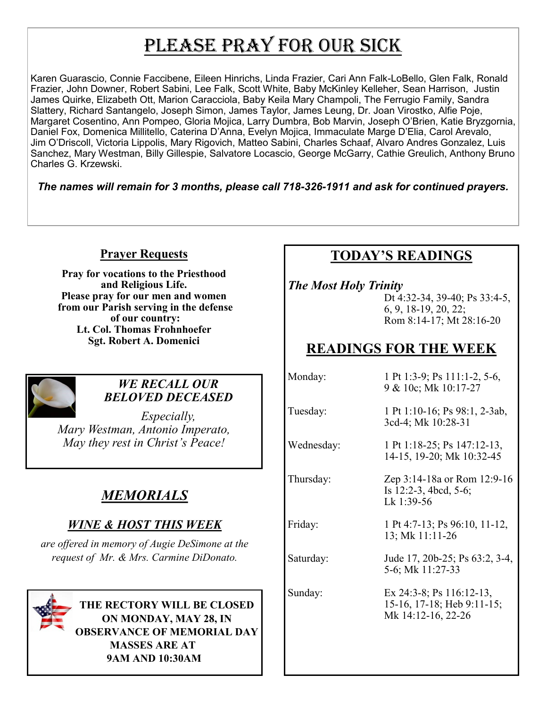## PLEASE PRAY FOR OUR SICK

Karen Guarascio, Connie Faccibene, Eileen Hinrichs, Linda Frazier, Cari Ann Falk-LoBello, Glen Falk, Ronald Frazier, John Downer, Robert Sabini, Lee Falk, Scott White, Baby McKinley Kelleher, Sean Harrison, Justin James Quirke, Elizabeth Ott, Marion Caracciola, Baby Keila Mary Champoli, The Ferrugio Family, Sandra Slattery, Richard Santangelo, Joseph Simon, James Taylor, James Leung, Dr. Joan Virostko, Alfie Poje, Margaret Cosentino, Ann Pompeo, Gloria Mojica, Larry Dumbra, Bob Marvin, Joseph O'Brien, Katie Bryzgornia, Daniel Fox, Domenica Millitello, Caterina D'Anna, Evelyn Mojica, Immaculate Marge D'Elia, Carol Arevalo, Jim O'Driscoll, Victoria Lippolis, Mary Rigovich, Matteo Sabini, Charles Schaaf, Alvaro Andres Gonzalez, Luis Sanchez, Mary Westman, Billy Gillespie, Salvatore Locascio, George McGarry, Cathie Greulich, Anthony Bruno Charles G. Krzewski.

*The names will remain for 3 months, please call 718-326-1911 and ask for continued prayers.*

#### **Prayer Requests**

**Pray for vocations to the Priesthood and Religious Life. Please pray for our men and women from our Parish serving in the defense of our country: Lt. Col. Thomas Frohnhoefer Sgt. Robert A. Domenici** 



#### *WE RECALL OUR BELOVED DECEASED*

*Especially, Mary Westman, Antonio Imperato, May they rest in Christ's Peace!*

#### *MEMORIALS*

#### *WINE & HOST THIS WEEK*

*are offered in memory of Augie DeSimone at the request of Mr. & Mrs. Carmine DiDonato.*



**THE RECTORY WILL BE CLOSED ON MONDAY, MAY 28, IN OBSERVANCE OF MEMORIAL DAY MASSES ARE AT 9AM AND 10:30AM**

#### **TODAY'S READINGS**

*The Most Holy Trinity* 

Dt 4:32-34, 39-40; Ps 33:4-5, 6, 9, 18-19, 20, 22; Rom 8:14-17; Mt 28:16-20

#### **READINGS FOR THE WEEK**

Monday: 1 Pt 1:3-9; Ps 111:1-2, 5-6, 9 & 10c; Mk 10:17-27

Tuesday: 1 Pt 1:10-16; Ps 98:1, 2-3ab, 3cd-4; Mk 10:28-31

Wednesday: 1 Pt 1:18-25; Ps 147:12-13, 14-15, 19-20; Mk 10:32-45

Thursday: Zep 3:14-18a or Rom 12:9-16 Is 12:2-3, 4bcd, 5-6; Lk 1:39-56

Friday: 1 Pt 4:7-13; Ps 96:10, 11-12, 13; Mk 11:11-26

Saturday: Jude 17, 20b-25; Ps 63:2, 3-4, 5-6; Mk 11:27-33

Sunday: Ex 24:3-8; Ps 116:12-13, 15-16, 17-18; Heb 9:11-15; Mk 14:12-16, 22-26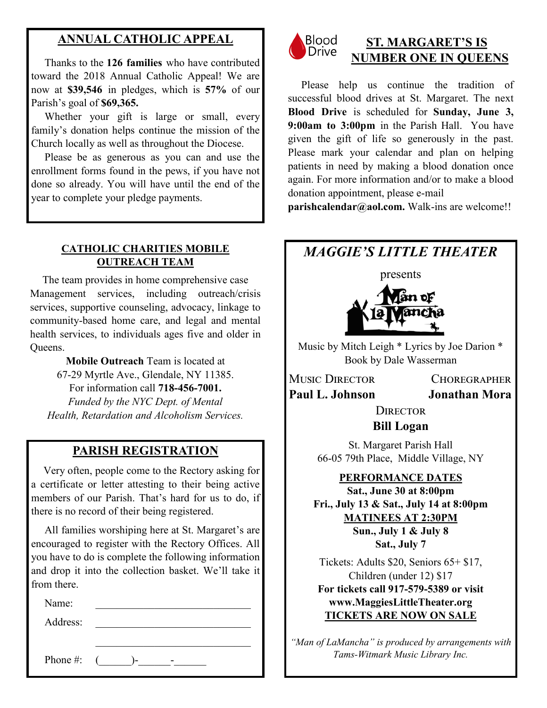#### **ANNUAL CATHOLIC APPEAL**

 Thanks to the **126 families** who have contributed toward the 2018 Annual Catholic Appeal! We are now at **\$39,546** in pledges, which is **57%** of our Parish's goal of **\$69,365.** 

 Whether your gift is large or small, every family's donation helps continue the mission of the Church locally as well as throughout the Diocese.

 Please be as generous as you can and use the enrollment forms found in the pews, if you have not done so already. You will have until the end of the year to complete your pledge payments.

#### **CATHOLIC CHARITIES MOBILE OUTREACH TEAM**

 The team provides in home comprehensive case Management services, including outreach/crisis services, supportive counseling, advocacy, linkage to community-based home care, and legal and mental health services, to individuals ages five and older in Queens.

**Mobile Outreach** Team is located at 67-29 Myrtle Ave., Glendale, NY 11385. For information call **718-456-7001.**  *Funded by the NYC Dept. of Mental Health, Retardation and Alcoholism Services.*

#### **PARISH REGISTRATION**

 Very often, people come to the Rectory asking for a certificate or letter attesting to their being active members of our Parish. That's hard for us to do, if there is no record of their being registered.

 All families worshiping here at St. Margaret's are encouraged to register with the Rectory Offices. All you have to do is complete the following information and drop it into the collection basket. We'll take it from there.

Name:

Address:

Phone #: (\_\_\_\_\_\_)-\_\_\_\_\_\_-\_\_\_\_\_\_



#### **ST. MARGARET'S IS NUMBER ONE IN QUEENS**

 Please help us continue the tradition of successful blood drives at St. Margaret. The next **Blood Drive** is scheduled for **Sunday, June 3, 9:00am to 3:00pm** in the Parish Hall. You have given the gift of life so generously in the past. Please mark your calendar and plan on helping patients in need by making a blood donation once again. For more information and/or to make a blood donation appointment, please e-mail

**parishcalendar@aol.com.** Walk-ins are welcome!!

#### *MAGGIE'S LITTLE THEATER*



Music by Mitch Leigh \* Lyrics by Joe Darion \* Book by Dale Wasserman

Music Director Choregrapher

**Paul L. Johnson Jonathan Mora**

**DIRECTOR Bill Logan**

St. Margaret Parish Hall 66-05 79th Place, Middle Village, NY

**PERFORMANCE DATES Sat., June 30 at 8:00pm Fri., July 13 & Sat., July 14 at 8:00pm MATINEES AT 2:30PM Sun., July 1 & July 8 Sat., July 7**

Tickets: Adults \$20, Seniors 65+ \$17, Children (under 12) \$17 **For tickets call 917-579-5389 or visit www.MaggiesLittleTheater.org TICKETS ARE NOW ON SALE**

*"Man of LaMancha" is produced by arrangements with Tams-Witmark Music Library Inc.*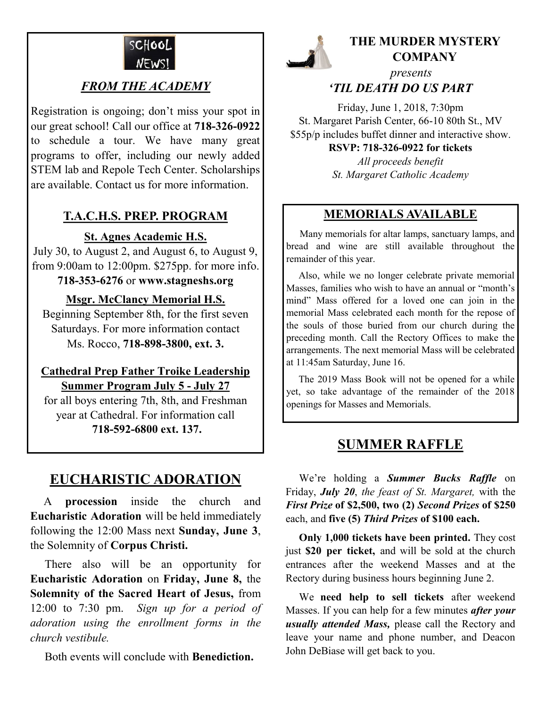

#### *FROM THE ACADEMY*

Registration is ongoing; don't miss your spot in our great school! Call our office at **718-326-0922**  to schedule a tour. We have many great programs to offer, including our newly added STEM lab and Repole Tech Center. Scholarships are available. Contact us for more information.

#### **T.A.C.H.S. PREP. PROGRAM**

#### **St. Agnes Academic H.S.**

July 30, to August 2, and August 6, to August 9, from 9:00am to 12:00pm. \$275pp. for more info. **718-353-6276** or **www.stagneshs.org**

#### **Msgr. McClancy Memorial H.S.**

Beginning September 8th, for the first seven Saturdays. For more information contact Ms. Rocco, **718-898-3800, ext. 3.**

#### **Cathedral Prep Father Troike Leadership Summer Program July 5 - July 27**

for all boys entering 7th, 8th, and Freshman year at Cathedral. For information call **718-592-6800 ext. 137.**

#### **EUCHARISTIC ADORATION**

 A **procession** inside the church and **Eucharistic Adoration** will be held immediately following the 12:00 Mass next **Sunday, June 3**, the Solemnity of **Corpus Christi.**

 There also will be an opportunity for **Eucharistic Adoration** on **Friday, June 8,** the **Solemnity of the Sacred Heart of Jesus,** from 12:00 to 7:30 pm. *Sign up for a period of adoration using the enrollment forms in the church vestibule.*

Both events will conclude with **Benediction.**



#### **THE MURDER MYSTERY COMPANY**

#### *presents 'TIL DEATH DO US PART*

Friday, June 1, 2018, 7:30pm St. Margaret Parish Center, 66-10 80th St., MV \$55p/p includes buffet dinner and interactive show.

#### **RSVP: 718-326-0922 for tickets**

*All proceeds benefit St. Margaret Catholic Academy* 

#### **MEMORIALS AVAILABLE**

Many memorials for altar lamps, sanctuary lamps, and bread and wine are still available throughout the remainder of this year.

 Also, while we no longer celebrate private memorial Masses, families who wish to have an annual or "month's mind" Mass offered for a loved one can join in the memorial Mass celebrated each month for the repose of the souls of those buried from our church during the preceding month. Call the Rectory Offices to make the arrangements. The next memorial Mass will be celebrated at 11:45am Saturday, June 16.

 The 2019 Mass Book will not be opened for a while yet, so take advantage of the remainder of the 2018 openings for Masses and Memorials.

#### **SUMMER RAFFLE**

 We're holding a *Summer Bucks Raffle* on Friday, *July 20*, *the feast of St. Margaret,* with the *First Prize* **of \$2,500, two (2)** *Second Prizes* **of \$250**  each, and **five (5)** *Third Prizes* **of \$100 each.**

 **Only 1,000 tickets have been printed.** They cost just **\$20 per ticket,** and will be sold at the church entrances after the weekend Masses and at the Rectory during business hours beginning June 2.

 We **need help to sell tickets** after weekend Masses. If you can help for a few minutes *after your usually attended Mass,* please call the Rectory and leave your name and phone number, and Deacon John DeBiase will get back to you.